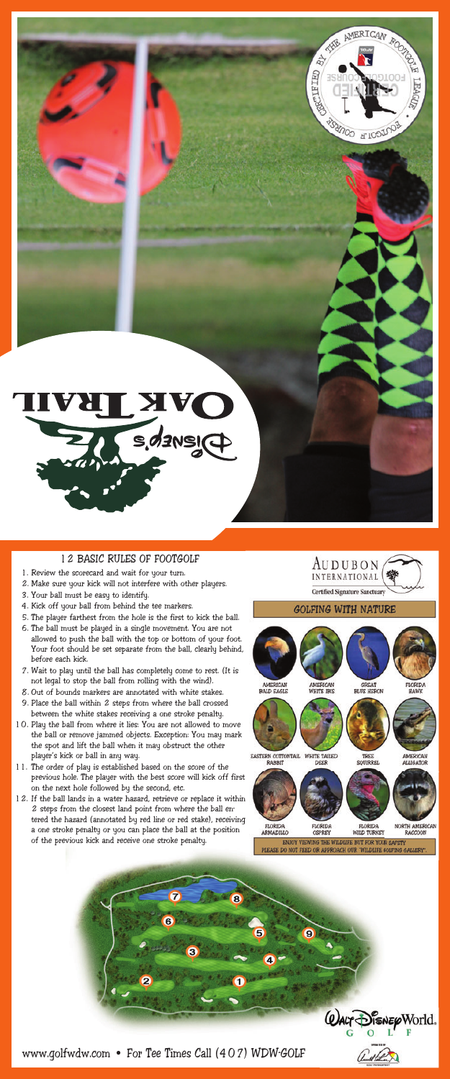

## 12 BASIC RULES OF FOOTGOLF

- 1. Review the scorecard and wait for your turn.
- 2. Make sure your kick will not interfere with other players.
- 3. Your ball must be easy to identify.
- 4. Kick off your ball from behind the tee markers.
- 5. The player farthest from the hole is the first to kick the ball.
- 6. The ball must be played in a single movement. You are not allowed to push the ball with the top or bottom of your foot. Your foot should be set separate from the ball, clearly behind, before each kick.
- 7. Wait to play until the ball has completely come to rest. (It is not legal to stop the ball from rolling with the wind).
- 8. Out of bounds markers are annotated with white stakes. 9. Place the ball within 2 steps from where the ball crossed between the white stakes receiving a one stroke penalty.
- 10. Play the ball from where it lies: You are not allowed to move the ball or remove jammed objects. Exception: You may mark the spot and lift the ball when it may obstruct the other player's kick or ball in any way.
- 11. The order of play is established based on the score of the previous hole. The player with the best score will kick off first on the next hole followed by the second, etc.
- 12. If the ball lands in a water hazard, retrieve or replace it within 2 steps from the closest land point from where the ball entered the hazard (annotated by red line or red stake), receiving a one stroke penalty or you can place the ball at the position of the previous kick and receive one stroke penalty.





ENJOY VIEWING<br>PLEASE DO NOT FEED OR



www.golfwdw.com • For Tee Times Call (407) WDW-GOLF